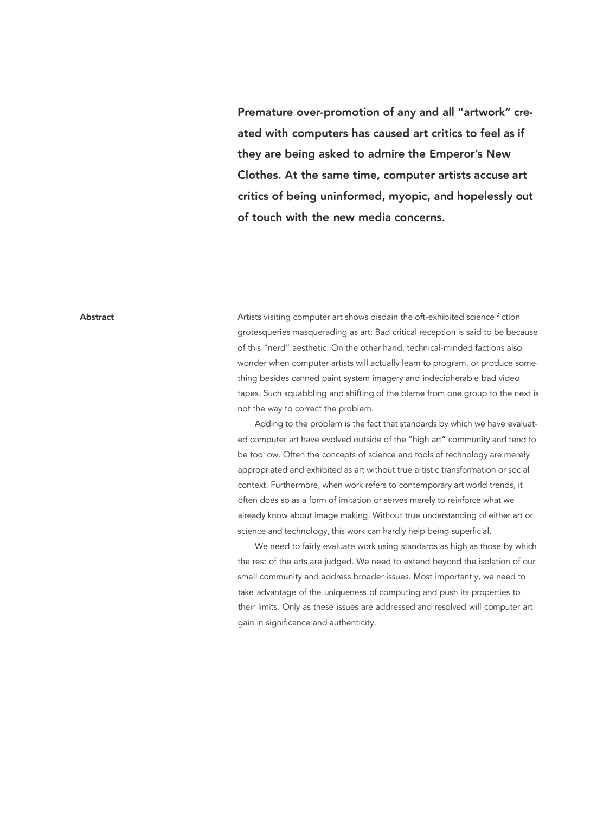**Premature over-promotion of any and all "artwork" created with computers has caused art critics to feel as if they are being asked to admire the Emperor's New Clothes. At the same time, computer artists accuse art critics of being uninformed, myopic, and hopelessly out of touch with the new media concerns.** 

#### **Abstract**

Artists visiting computer art shows disdain the oft-exhibited science fiction grotesqueries masquerading as art: Bad critical reception is said to be because of this "nerd" aesthetic. On the other hand, technical-minded factions also wonder when computer artists will actually learn to program, or produce something besides canned paint system imagery and indecipherable bad video tapes. Such squabbling and shifting of the blame from one group to the next is not the way to correct the problem.

Adding to the problem is the fact that standards by which we have evaluated computer art have evolved outside of the "high art" community and tend to be too low. Often the concepts of science and tools of technology are merely appropriated and exhibited as art without true artistic transformation or social context. Furthermore, when work refers to contemporary art world trends, it often does so as a form of imitation or serves merely to reinforce what we already know about image making. Without true understanding of either art or science and technology, this work can hardly help being superficial.

We need to fairly evaluate work using standards as high as those by which the rest of the arts are judged. We need to extend beyond the isolation of our small community and address broader issues. Most importantly, we need to take advantage of the uniqueness of computing and push its properties to their limits. Only as these issues are addressed and resolved will computer art gain in significance and authenticity.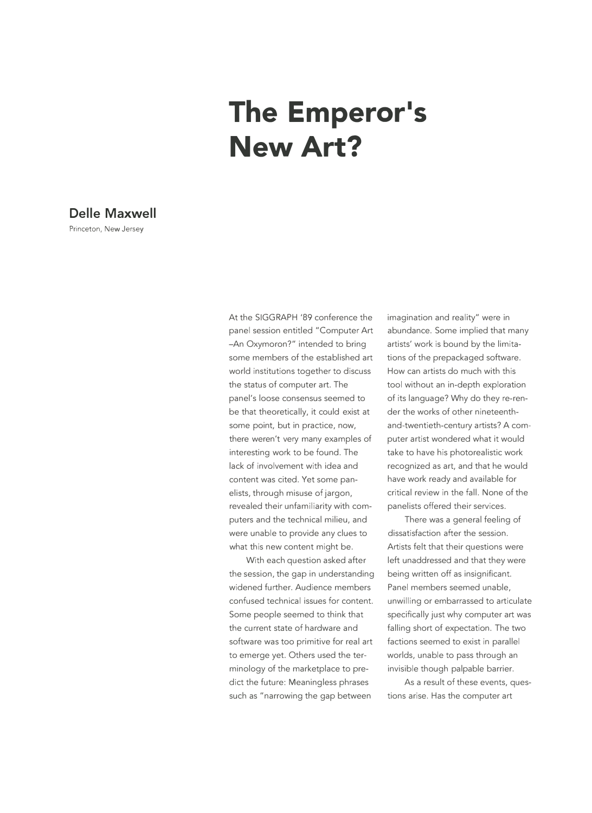# The Emperor's **New Art?**

# **Delle Maxwell**

Princeton, New Jersey

At the SIGGRAPH '89 conference the panel session entitled "Computer Art -An Oxymoron?" intended to bring some members of the established art world institutions together to discuss the status of computer art. The panel's loose consensus seemed to be that theoretically, it could exist at some point, but in practice, now, there weren't very many examples of interesting work to be found. The lack of involvement with idea and content was cited. Yet some panelists, through misuse of jargon, revealed their unfamiliarity with computers and the technical milieu, and were unable to provide any clues to what this new content might be.

With each question asked after the session, the gap in understanding widened further. Audience members confused technical issues for content. Some people seemed to think that the current state of hardware and software was too primitive for real art to emerge yet. Others used the terminology of the marketplace to predict the future: Meaningless phrases such as "narrowing the gap between

imagination and reality" were in abundance. Some implied that many artists' work is bound by the limitations of the prepackaged software. How can artists do much with this tool without an in-depth exploration of its language? Why do they re-render the works of other nineteenthand-twentieth-century artists? A computer artist wondered what it would take to have his photorealistic work recognized as art, and that he would have work ready and available for critical review in the fall. None of the panelists offered their services.

There was a general feeling of dissatisfaction after the session. Artists felt that their questions were left unaddressed and that they were being written off as insignificant. Panel members seemed unable, unwilling or embarrassed to articulate specifically just why computer art was falling short of expectation. The two factions seemed to exist in parallel worlds, unable to pass through an invisible though palpable barrier.

As a result of these events, questions arise. Has the computer art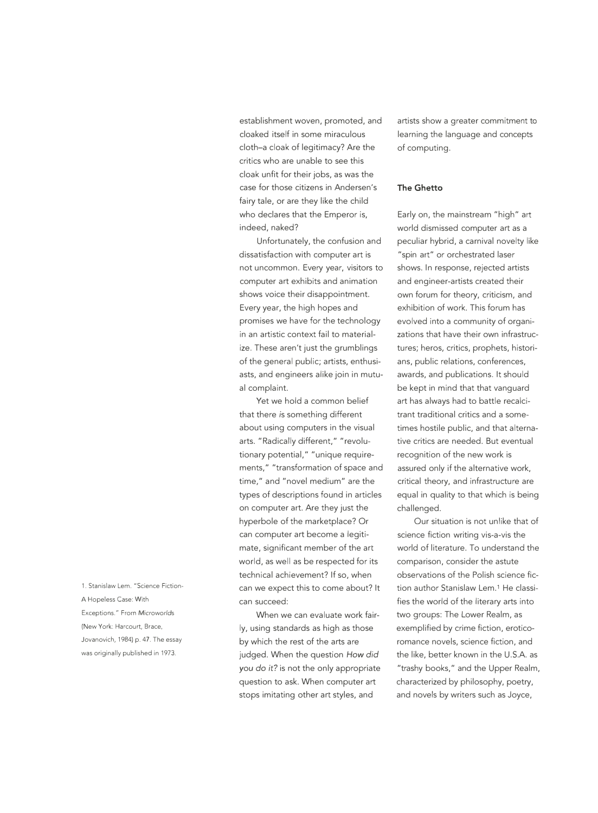establishment woven, promoted, and cloaked itself in some miraculous cloth-a cloak of legitimacy? Are the critics who are unable to see this cloak unfit for their jobs, as was the case for those citizens in Andersen's fairy tale, or are they like the child who declares that the Emperor is, indeed, naked?

Unfortunately, the confusion and dissatisfaction with computer art is not uncommon. Every year, visitors to computer art exhibits and animation shows voice their disappointment. Every year, the high hopes and promises we have for the technology in an artistic context fail to materialize. These aren't just the grumblings of the general public; artists, enthusiasts, and engineers alike join in mutual complaint.

Yet we hold a common belief that there is something different about using computers in the visual arts. "Radically different," "revolutionary potential," "unique requirements," "transformation of space and time," and "novel medium" are the types of descriptions found in articles on computer art. Are they just the hyperbole of the marketplace? Or can computer art become a legitimate, significant member of the art world, as well as be respected for its technical achievement? If so, when can we expect this to come about? It can succeed:

When we can evaluate work fairly, using standards as high as those by which the rest of the arts are judged. When the question *How did* you *do* it? is not the only appropriate question to ask. When computer art stops imitating other art styles, and

artists show a greater commitment to learning the language and concepts of computing.

#### **The Ghetto**

Early on, the mainstream "high" art world dismissed computer art as a peculiar hybrid, a carnival novelty like "spin art" or orchestrated laser shows. In response, rejected artists and engineer-artists created their own forum for theory, criticism, and exhibition of work. This forum has evolved into a community of organizations that have their own infrastructures; heros, critics, prophets, historians, public relations, conferences, awards, and publications. It should be kept in mind that that vanguard art has always had to battle recalcitrant traditional critics and a sometimes hostile public, and that alternative critics are needed. But eventual recognition of the new work is assured only if the alternative work, critical theory, and infrastructure are equal in quality to that which is being challenged.

Our situation is not unlike that of science fiction writing vis-a-vis the world of literature. To understand the comparison, consider the astute observations of the Polish science fiction author Stanislaw Lem.1 He classifies the world of the literary arts into two groups: The Lower Realm, as exemplified by crime fiction, eroticoromance novels, science fiction, and the like, better known in the U.S.A. as "trashy books," and the Upper Realm, characterized by philosophy, poetry, and novels by writers such as Joyce,

1. Stanislaw Lem. "Science Fiction-A Hopeless Case: With Exceptions." From Microworlds (New York: Harcourt, Brace, Jovanovich, 1984) p. 47. The essay was originally published in 1973.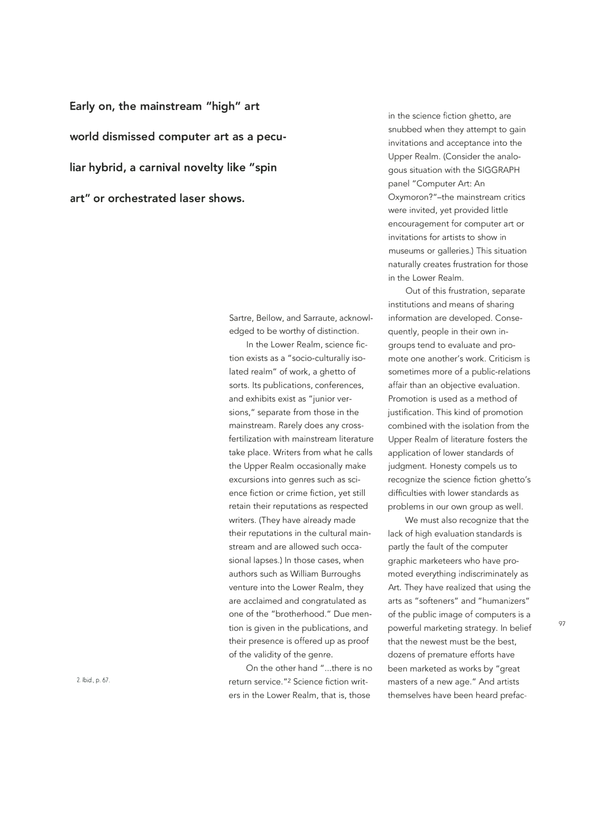**Early on, the mainstream "high" art world dismissed computer art as a peculiar hybrid, a carnival novelty like "spin art" or orchestrated laser shows.** 

> Sartre, Bellow, and Sarraute, acknowledged to be worthy of distinction.

> In the Lower Realm, science fiction exists as a "socio-culturally isolated realm" of work, a ghetto of sorts. Its publications, conferences, and exhibits exist as "junior versions," separate from those in the mainstream. Rarely does any crossfertilization with mainstream literature take place. Writers from what he calls the Upper Realm occasionally make excursions into genres such as science fiction or crime fiction, yet still retain their reputations as respected writers. (They have already made their reputations in the cultural mainstream and are allowed such occasional lapses.) In those cases, when authors such as William Burroughs venture into the Lower Realm, they are acclaimed and congratulated as one of the "brotherhood." Due mention is given in the publications, and their presence is offered up as proof of the validity of the genre.

> On the other hand "...there is no return service. "2 Science fiction writers in the Lower Realm, that is, those

in the science fiction ghetto, are snubbed when they attempt to gain invitations and acceptance into the Upper Realm. (Consider the analogous situation with the SIGGRAPH panel "Computer Art: An Oxymoron?"-the mainstream critics were invited, yet provided little encouragement for computer art or invitations for artists to show in museums or galleries.) This situation naturally creates frustration for those in the Lower Realm.

Out of this frustration, separate institutions and means of sharing information are developed. Consequently, people in their own ingroups tend to evaluate and promote one another's work. Criticism is sometimes more of a public-relations affair than an objective evaluation. Promotion is used as a method of justification. This kind of promotion combined with the isolation from the Upper Realm of literature fosters the application of lower standards of judgment. Honesty compels us to recognize the science fiction ghetto's difficulties with lower standards as problems in our own group as well.

We must also recognize that the lack of high evaluation standards is partly the fault of the computer graphic marketeers who have promoted everything indiscriminately as Art. They have realized that using the arts as "softeners" and "humanizers" of the public image of computers is a powerful marketing strategy. In belief that the newest must be the best, dozens of premature efforts have been marketed as works by "great masters of a new age." And artists themselves have been heard prefac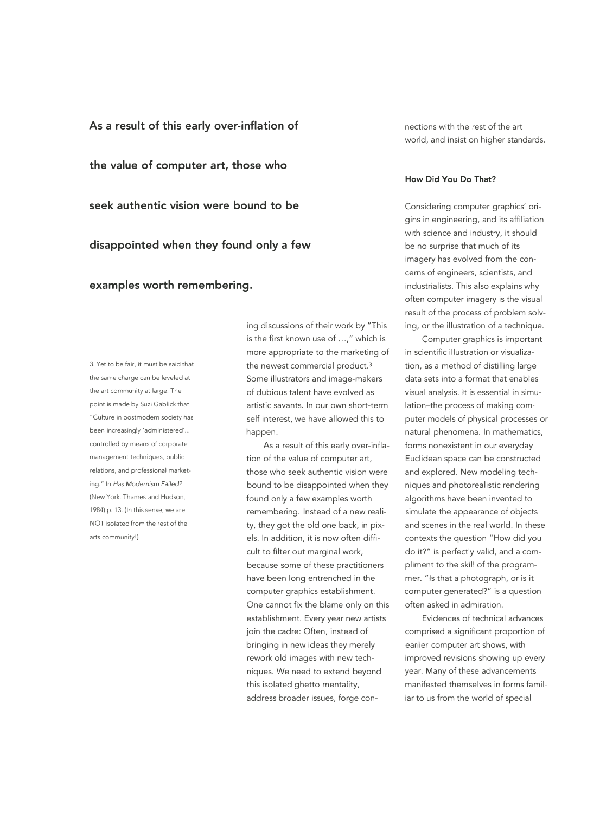**As a result of this early over-inflation of the value of computer art, those who seek authentic vision were bound to be disappointed when they found only a few examples worth remembering.** 

3. Yet to be fair, it must be said that the same charge can be leveled at the art community at large. The point is made by Suzi Gablick that "Culture in postmodern society has been increasingly 'administered'... controlled by means of corporate management techniques, public relations, and professional marketing." In Has Modernism *Failed?*  (New York: Thames and Hudson, 1984) p. 13. (In this sense, we are NOT isolated from the rest of the arts community!)

ing discussions of their work by "This is the first known use of ...," which is more appropriate to the marketing of the newest commercial product.3 Some illustrators and image-makers of dubious talent have evolved as artistic savants. In our own short-term self interest, we have allowed this to happen.

As a result of this early over-inflation of the value of computer art, those who seek authentic vision were bound to be disappointed when they found only a few examples worth remembering. Instead of a new reality, they got the old one back, in pixels. In addition, it is now often difficult to filter out marginal work, because some of these practitioners have been long entrenched in the computer graphics establishment. One cannot fix the blame only on this establishment. Every year new artists join the cadre: Often, instead of bringing in new ideas they merely rework old images with new techniques. We need to extend beyond this isolated ghetto mentality, address broader issues, forge connections with the rest of the art world, and insist on higher standards.

# **How Did You Do That?**

Considering computer graphics' origins in engineering, and its affiliation with science and industry, it should be no surprise that much of its imagery has evolved from the concerns of engineers, scientists, and industrialists. This also explains why often computer imagery is the visual result of the process of problem solving, or the illustration of a technique.

Computer graphics is important in scientific illustration or visualization, as a method of distilling large data sets into a format that enables visual analysis. It is essential in simulation-the process of making computer models of physical processes or natural phenomena. In mathematics, forms nonexistent in our everyday Euclidean space can be constructed and explored. New modeling techniques and photorealistic rendering algorithms have been invented to simulate the appearance of objects and scenes in the real world. In these contexts the question "How did you do it?" is perfectly valid, and a compliment to the skill of the programmer. "Is that a photograph, or is it computer generated?" is a question often asked in admiration.

Evidences of technical advances comprised a significant proportion of earlier computer art shows, with improved revisions showing up every year. Many of these advancements manifested themselves in forms familiar to us from the world of special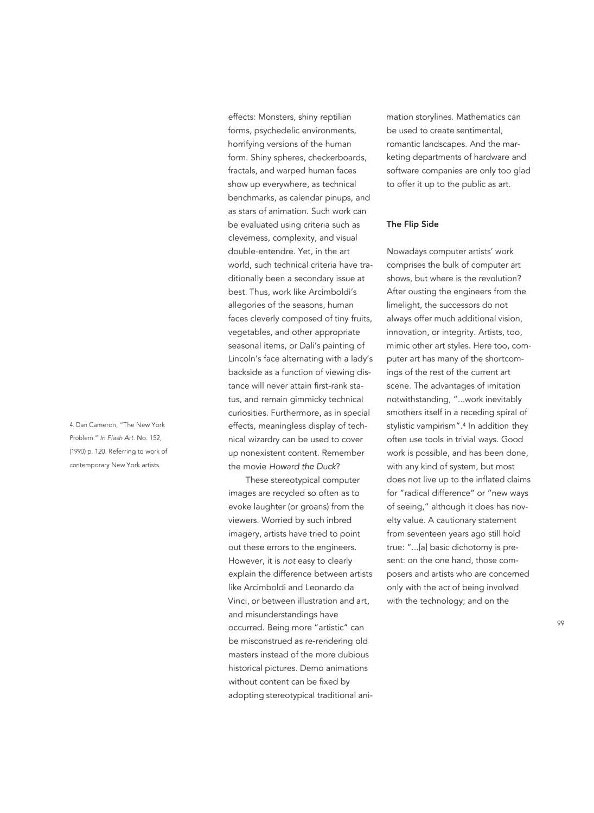4. Dan Cameron, "The New York Problem." /n *Flash Art.* No. 152, (1990) p. 120. Referring to work of contemporary New York artists.

effects: Monsters, shiny reptilian forms, psychedelic environments, horrifying versions of the human form. Shiny spheres, checkerboards, fractals, and warped human faces show up everywhere, as technical benchmarks, as calendar pinups, and as stars of animation. Such work can be evaluated using criteria such as cleverness, complexity, and visual double-entendre. Yet, in the art world, such technical criteria have traditionally been a secondary issue at best. Thus, work like Arcimboldi's allegories of the seasons, human faces cleverly composed of tiny fruits, vegetables, and other appropriate seasonal items, or Dali's painting of Lincoln's face alternating with a lady's backside as a function of viewing distance will never attain first-rank status, and remain gimmicky technical curiosities. Furthermore, as in special effects, meaningless display of technical wizardry can be used to cover up nonexistent content. Remember the movie *Howard the Duck?* 

These stereotypical computer images are recycled so often as to evoke laughter (or groans) from the viewers. Worried by such inbred imagery, artists have tried to point out these errors to the engineers. However, it is *not* easy to clearly explain the difference between artists like Arcimboldi and Leonardo da Vinci, or between illustration and art, and misunderstandings have occurred. Being more "artistic" can be misconstrued as re-rendering old masters instead of the more dubious historical pictures. Demo animations without content can be fixed by adopting stereotypical traditional animation storylines. Mathematics can be used to create sentimental, romantic landscapes. And the marketing departments of hardware and software companies are only too glad to offer it up to the public as art.

#### **The Flip Side**

Nowadays computer artists' work comprises the bulk of computer art shows, but where is the revolution? After ousting the engineers from the limelight, the successors do not always offer much additional vision, innovation, or integrity. Artists, too, mimic other art styles. Here too, computer art has many of the shortcomings of the rest of the current art scene. The advantages of imitation notwithstanding, " ... work inevitably smothers itself in a receding spiral of stylistic vampirism" .4 In addition they often use tools in trivial ways. Good work is possible, and has been done, with any kind of system, but most does not live up to the inflated claims for "radical difference" or "new ways of seeing," although it does has novelty value. A cautionary statement from seventeen years ago still hold true: " ... [a] basic dichotomy is present: on the one hand, those composers and artists who are concerned only with the act of being involved with the technology; and on the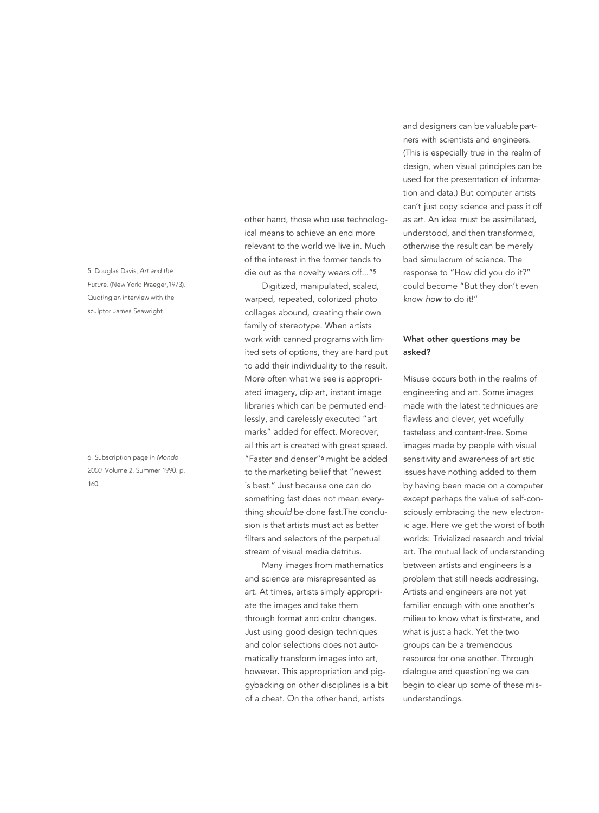5. Douglas Davis, *Art and the* Future. (New York: Praeger, 1973). Quoting an interview with the sculptor James Seawright.

6. Subscription page in *Mondo 2000.* Volume 2, Summer 1990. p. 160.

other hand, those who use technological means to achieve an end more relevant to the world we live in. Much of the interest in the former tends to die out as the novelty wears off..."<sup>5</sup>

Digitized, manipulated, scaled, warped, repeated, colorized photo collages abound, creating their own family of stereotype. When artists work with canned programs with limited sets of options, they are hard put to add their individuality to the result. More often what we see is appropriated imagery, clip art, instant image libraries which can be permuted endlessly, and carelessly executed "art marks" added for effect. Moreover, all this art is created with great speed. "Faster and denser"6 might be added to the marketing belief that "newest is best." Just because one can do something fast does not mean everything *should* be done fast.The conclusion is that artists must act as better filters and selectors of the perpetual stream of visual media detritus.

Many images from mathematics and science are misrepresented as art. At times, artists simply appropriate the images and take them through format and color changes. Just using good design techniques and color selections does not automatically transform images into art, however. This appropriation and piggybacking on other disciplines is a bit of a cheat. On the other hand, artists

and designers can be valuable partners with scientists and engineers. (This is especially true in the realm of design, when visual principles can be used for the presentation of information and data.) But computer artists can't just copy science and pass it off as art. An idea must be assimilated, understood, and then transformed, otherwise the result can be merely bad simulacrum of science. The response to "How did you do it?" could become "But they don't even know *how* to do it!"

# **What other questions may be asked?**

Misuse occurs both in the realms of engineering and art. Some images made with the latest techniques are flawless and clever, yet woefully tasteless and content-free. Some images made by people with visual sensitivity and awareness of artistic issues have nothing added to them by having been made on a computer except perhaps the value of self-consciously embracing the new electronic age. Here we get the worst of both worlds: Trivialized research and trivial art. The mutual lack of understanding between artists and engineers is a problem that still needs addressing. Artists and engineers are not yet familiar enough with one another's milieu to know what is first-rate, and what is just a hack. Yet the two groups can be a tremendous resource for one another. Through dialogue and questioning we can begin to clear up some of these misunderstandings.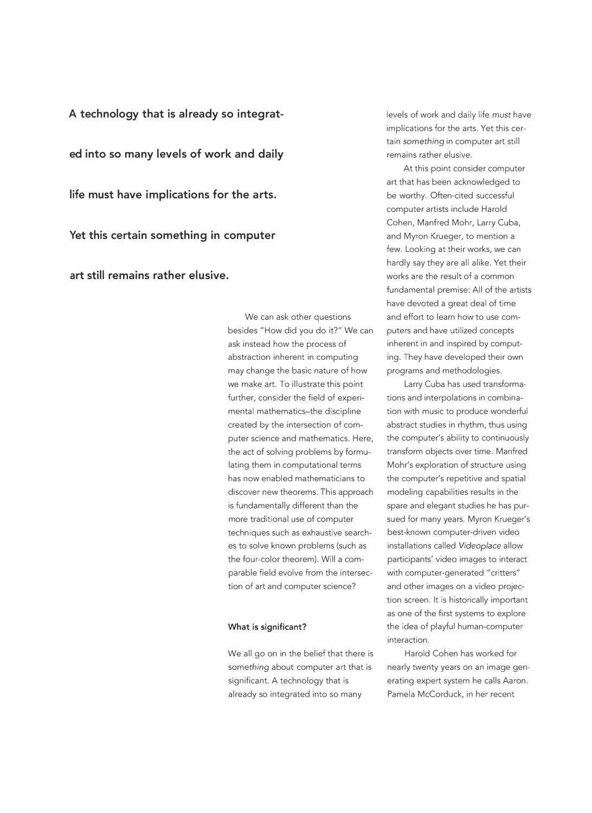**A technology that is already so integrated into so many levels of work and daily life must have implications for the arts. Yet this certain something in computer art still remains rather elusive.** 

> We can ask other questions besides "How did you do it?" We can ask instead how the process of abstraction inherent in computing may change the basic nature of how we make art. To illustrate this point further, consider the field of experimental mathematics-the discipline created by the intersection of computer science and mathematics. Here, the act of solving problems by formulating them in computational terms has now enabled mathematicians to discover new theorems. This approach is fundamentally different than the more traditional use of computer techniques such as exhaustive searches to solve known problems (such as the four-color theorem). Will a comparable field evolve from the intersection of art and computer science?

# **What is significant?**

We all go on in the belief that there is something about computer art that is significant. A technology that is already so integrated into so many

levels of work and daily life *must* have implications for the arts. Yet this certain *something* in computer art still remains rather elusive.

At this point consider computer art that has been acknowledged to be worthy. Often-cited successful computer artists include Harold Cohen, Manfred Mohr, Larry Cuba, and Myron Krueger, to mention a few. Looking at their works, we can hardly say they are all alike. Yet their works are the result of a common fundamental premise: All of the artists have devoted a great deal of time and effort to learn how to use computers and have utilized concepts inherent in and inspired by computing. They have developed their own programs and methodologies.

Larry Cuba has used transformations and interpolations in combination with music to produce wonderful abstract studies in rhythm, thus using the computer's ability to continuously transform objects over time. Manfred Mohr's exploration of structure using the computer's repetitive and spatial modeling capabilities results in the spare and elegant studies he has pursued for many years. Myron Krueger's best-known computer-driven video installations called *Videoplace* allow participants' video images to interact with computer-generated "critters" and other images on a video projection screen. It is historically important as one of the first systems to explore the idea of playful human-computer interaction.

Harold Cohen has worked for nearly twenty years on an image generating expert system he calls Aaron. Pamela McCorduck, in her recent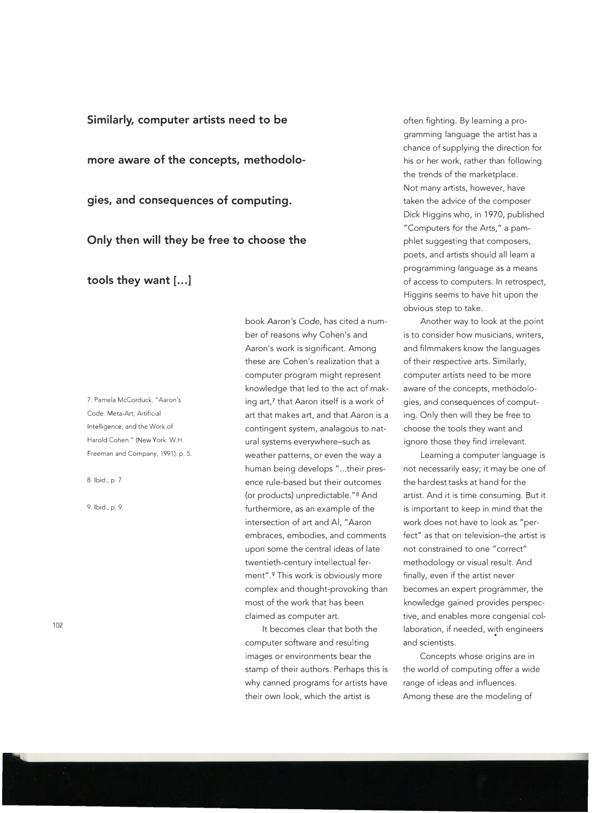**Similarly, computer artists need to be** 

**more aware of the concepts, methodolo-**

**gies, and consequences of computing.** 

**Only then will they be free to choose the** 

tools they want [...]

7. Pamela McCorduck. "Aaron's Code: Meta-Art, Artificial Intelligence, and the Work of Harold Cohen." (New York: W.H. Freeman and Company, 1991). p. 5.

8. Ibid., p. 7.

9. Ibid., p. 9.

102

book *Aaron's Code,* has cited a number of reasons why Cohen's and Aaron's work is significant. Among these are Cohen's realization that a computer program might represent knowledge that led to the act of making art,7 that Aaron itself is a work of art that makes art, and that Aaron is a contingent system, analagous to natural systems everywhere-such as weather patterns, or even the way a human being develops "...their presence rule-based but their outcomes (or products) unpredictable."8 And furthermore, as an example of the intersection of art and Al, "Aaron embraces, embodies, and comments upon some the central ideas of late twentieth-century intellectual ferment".<sup>9</sup> This work is obviously more complex and thought-provoking than most of the work that has been claimed as computer art.

It becomes clear that both the computer software and resulting images or environments bear the stamp of their authors. Perhaps this is why canned programs for artists have their own look, which the artist is

often fighting. By learning a programming language the artist has a chance of supplying the direction for his or her work, rather than following the trends of the marketplace. Not many artists, however, have taken the advice of the composer Dick Higgins who, in 1970, published "Computers for the Arts," a pamphlet suggesting that composers, poets, and artists should all learn a programming language as a means of access to computers. In retrospect, Higgins seems to have hit upon the obvious step to take.

Another way to look at the point is to consider how musicians, writers, and filmmakers know the languages of their respective arts. Similarly, computer artists need to be more aware of the concepts, methodologies, and consequences of computing. Only then will they be free to choose the tools they want and ignore those they find irrelevant.

Learning a computer language is not necessarily easy; it may be one of the hardest tasks at hand for the artist. And it is time consuming. But it is important to keep in mind that the work does not have to look as "perfect" as that on television-the artist is not constrained to one "correct" methodology or visual result. And finally, even if the artist never becomes an expert programmer, the knowledge gained provides perspective, and enables more congenial collaboration, if needed, with engineers coi<br>ith<br>• and scientists.

Concepts whose origins are in the world of computing offer a wide range of ideas and influences. Among these are the modeling of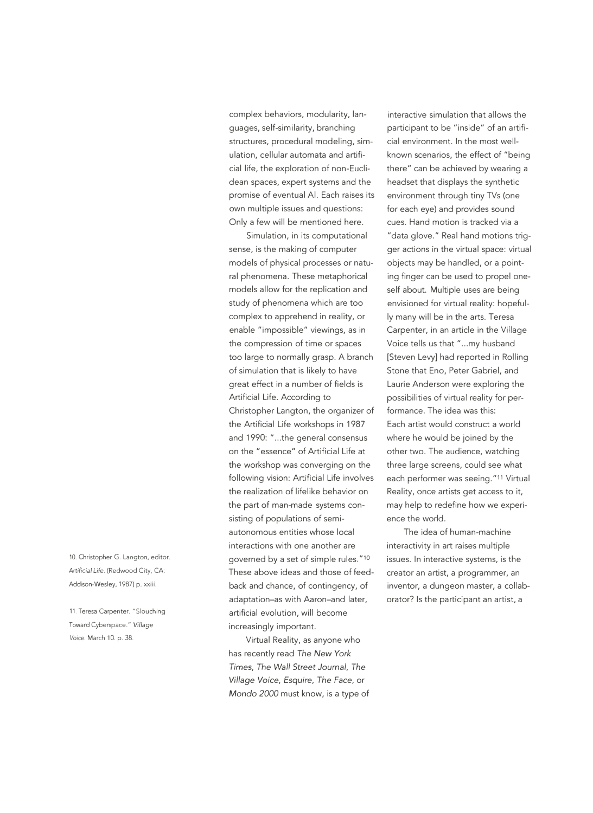complex behaviors, modularity, languages, self-similarity, branching structures, procedural modeling, simulation, cellular automata and artificial life, the exploration of non-Euclidean spaces, expert systems and the promise of eventual Al. Each raises its own multiple issues and questions: Only a few will be mentioned here.

Simulation, in its computational sense, is the making of computer models of physical processes or natural phenomena. These metaphorical models allow for the replication and study of phenomena which are too complex to apprehend in reality, or enable "impossible" viewings, as in the compression of time or spaces too large to normally grasp. A branch of simulation that is likely to have great effect in a number of fields is Artificial Life. According to Christopher Langton, the organizer of the Artificial Life workshops in 1987 and 1990: " ... the general consensus on the "essence" of Artificial Life at the workshop was converging on the following vision: Artificial Life involves the realization of lifelike behavior on the part of man-made systems consisting of populations of semiautonomous entities whose local interactions with one another are governed by a set of simple rules."<sup>10</sup> These above ideas and those of feed- creator an artist, a programmer, an back and chance, of contingency, of inventor, a dungeon master, a collabadaptation-as with Aaron-and later, artificial evolution, will become increasingly important.

Virtual Reality, as anyone who has recently read *The New York Times, The Waif Street Journal, The Village Voice, Esquire, The Face,* or *Mondo 2000* must know, is a type of

interactive simulation that allows the participant to be "inside" of an artificial environment. In the most wellknown scenarios, the effect of "being there" can be achieved by wearing a headset that displays the synthetic environment through tiny 1Vs (one for each eye) and provides sound cues. Hand motion is tracked via a "data glove." Real hand motions trigger actions in the virtual space: virtual objects may be handled, or a pointing finger can be used to propel oneself about. Multiple uses are being envisioned for virtual reality: hopefully many will be in the arts. Teresa Carpenter, in an article in the Village Voice tells us that "...my husband [Steven Levy] had reported in Rolling Stone that Eno, Peter Gabriel, and Laurie Anderson were exploring the possibilities of virtual reality for performance. The idea was this: Each artist would construct a world where he would be joined by the other two. The audience, watching three large screens, could see what each performer was seeing. "11 Virtual Reality, once artists get access to it, may help to redefine how we experience the world.

The idea of human-machine interactivity in art raises multiple issues. In interactive systems, is the orator? Is the participant an artist, a

10. Christopher G. Langton, editor. *Artificial Life.* (Redwood City, CA: Addison-Wesley, 1987) p. xxiii.

11. Teresa Carpenter. "Slouching Toward Cyberspace." *Village*  Voice. March 10. p. 38.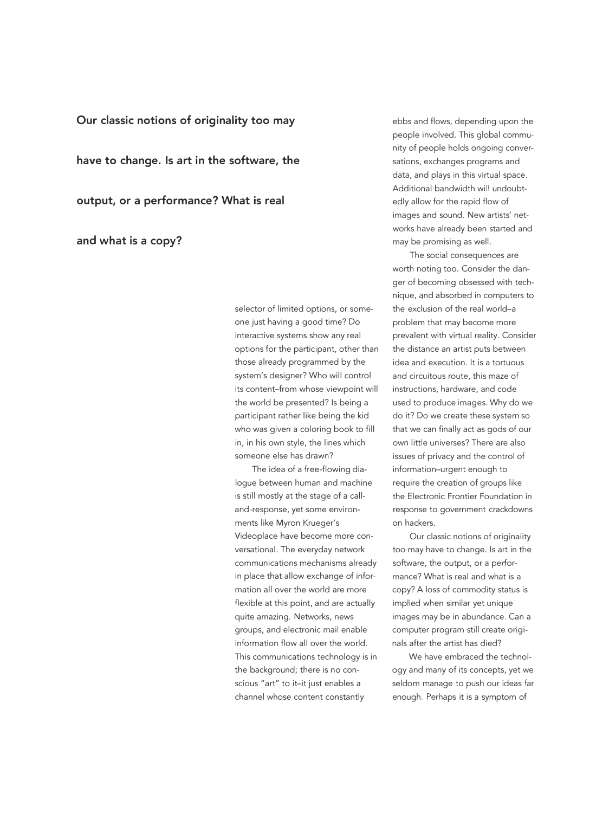# **Our classic notions of originality too may**

**have to change. Is art in the software, the** 

**output, or a performance? What is real** 

**and what is a copy?** 

selector of limited options, or someone just having a good time? Do interactive systems show any real options for the participant, other than those already programmed by the system's designer? Who will control its content-from whose viewpoint will the world be presented? Is being a participant rather like being the kid who was given a coloring book to fill in, in his own style, the lines which someone else has drawn?

The idea of a free-flowing dialogue between human and machine is still mostly at the stage of a calland-response, yet some environments like Myron Krueger's Videoplace have become more conversational. The everyday network communications mechanisms already in place that allow exchange of information all over the world are more flexible at this point, and are actually quite amazing. Networks, news groups, and electronic mail enable information flow all over the world. This communications technology is in the background; there is no conscious "art" to it-it just enables a channel whose content constantly

ebbs and flows, depending upon the people involved. This global community of people holds ongoing conversations, exchanges programs and data, and plays in this virtual space. Additional bandwidth will undoubtedly allow for the rapid flow of images and sound. New artists' networks have already been started and may be promising as well.

The social consequences are worth noting too. Consider the danger of becoming obsessed with technique, qnd absorbed in computers to the exclusion of the real world-a problem that may become more prevalent with virtual reality. Consider the distance an artist puts between idea and execution. It is a tortuous and circuitous route, this maze of instructions, hardware, and code used to produce images. Why do we do it? Do we create these system so that we can finally act as gods of our own little universes? There are also issues of privacy and the control of information-urgent enough to require the creation of groups like the Electronic Frontier Foundation in response to government crackdowns on hackers.

Our classic notions of originality too may have to change. Is art in the software, the output, or a performance? What is real and what is a copy? A loss of commodity status is implied when similar yet unique images may be in abundance. Can a computer program still create originals after the artist has died?

We have embraced the technology and many of its concepts, yet we seldom manage to push our ideas far enough. Perhaps it is a symptom of